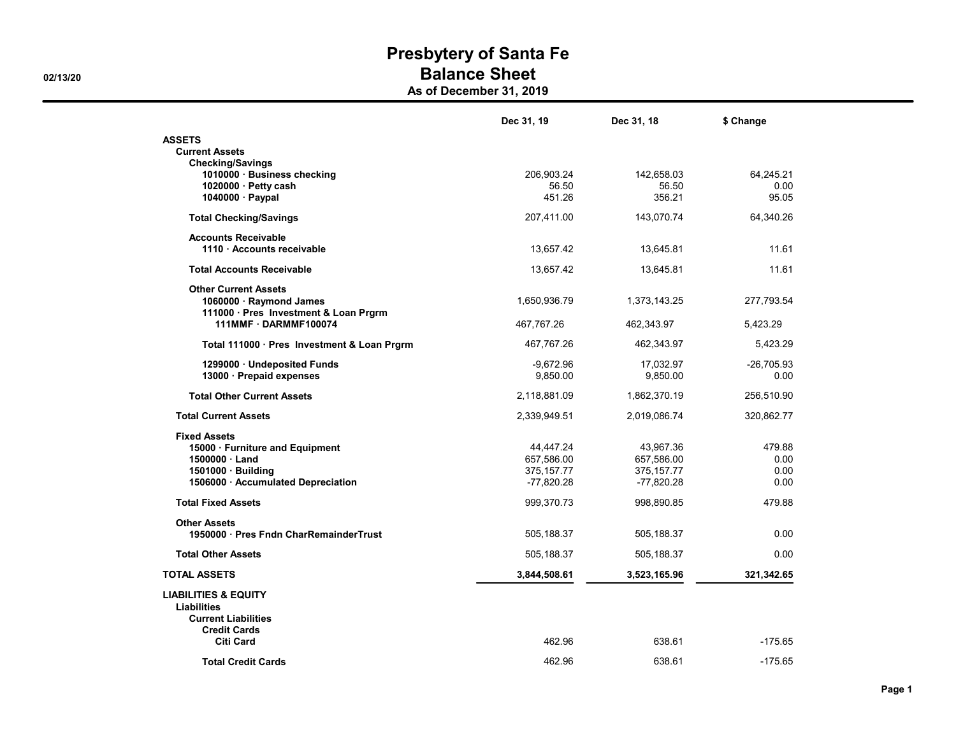As of December 31, 2019

|                                                                | Dec 31, 19   | Dec 31, 18   | \$ Change    |
|----------------------------------------------------------------|--------------|--------------|--------------|
| <b>ASSETS</b>                                                  |              |              |              |
| <b>Current Assets</b>                                          |              |              |              |
| <b>Checking/Savings</b>                                        | 206,903.24   | 142,658.03   | 64,245.21    |
| 1010000 · Business checking<br>$1020000 \cdot$ Petty cash      | 56.50        | 56.50        | 0.00         |
| 1040000 · Paypal                                               | 451.26       | 356.21       | 95.05        |
| <b>Total Checking/Savings</b>                                  | 207,411.00   | 143,070.74   | 64,340.26    |
| <b>Accounts Receivable</b>                                     |              |              |              |
| 1110 Accounts receivable                                       | 13,657.42    | 13,645.81    | 11.61        |
|                                                                |              |              |              |
| <b>Total Accounts Receivable</b>                               | 13,657.42    | 13,645.81    | 11.61        |
| <b>Other Current Assets</b>                                    |              |              |              |
| 1060000 · Raymond James                                        | 1,650,936.79 | 1,373,143.25 | 277,793.54   |
| 111000 · Pres Investment & Loan Prgrm<br>111MMF · DARMMF100074 |              |              |              |
|                                                                | 467,767.26   | 462,343.97   | 5,423.29     |
| Total 111000 · Pres Investment & Loan Prgrm                    | 467,767.26   | 462,343.97   | 5,423.29     |
| 1299000 · Undeposited Funds                                    | -9,672.96    | 17,032.97    | $-26,705.93$ |
| 13000 · Prepaid expenses                                       | 9,850.00     | 9,850.00     | 0.00         |
|                                                                |              |              |              |
| <b>Total Other Current Assets</b>                              | 2,118,881.09 | 1,862,370.19 | 256,510.90   |
| <b>Total Current Assets</b>                                    | 2,339,949.51 | 2,019,086.74 | 320,862.77   |
| <b>Fixed Assets</b>                                            |              |              |              |
| 15000 · Furniture and Equipment                                | 44,447.24    | 43,967.36    | 479.88       |
| 1500000 · Land                                                 | 657,586.00   | 657,586.00   | 0.00         |
| $1501000 \cdot$ Building                                       | 375, 157.77  | 375, 157.77  | 0.00         |
| 1506000 · Accumulated Depreciation                             | $-77,820.28$ | $-77,820.28$ | 0.00         |
| <b>Total Fixed Assets</b>                                      | 999,370.73   | 998,890.85   | 479.88       |
|                                                                |              |              |              |
| <b>Other Assets</b><br>1950000 · Pres Fndn CharRemainderTrust  | 505,188.37   | 505,188.37   | 0.00         |
|                                                                |              |              |              |
| <b>Total Other Assets</b>                                      | 505,188.37   | 505,188.37   | 0.00         |
| <b>TOTAL ASSETS</b>                                            | 3,844,508.61 | 3,523,165.96 | 321,342.65   |
| <b>LIABILITIES &amp; EQUITY</b>                                |              |              |              |
| <b>Liabilities</b>                                             |              |              |              |
| <b>Current Liabilities</b>                                     |              |              |              |
| <b>Credit Cards</b>                                            |              |              |              |
| Citi Card                                                      | 462.96       | 638.61       | $-175.65$    |
| <b>Total Credit Cards</b>                                      | 462.96       | 638.61       | $-175.65$    |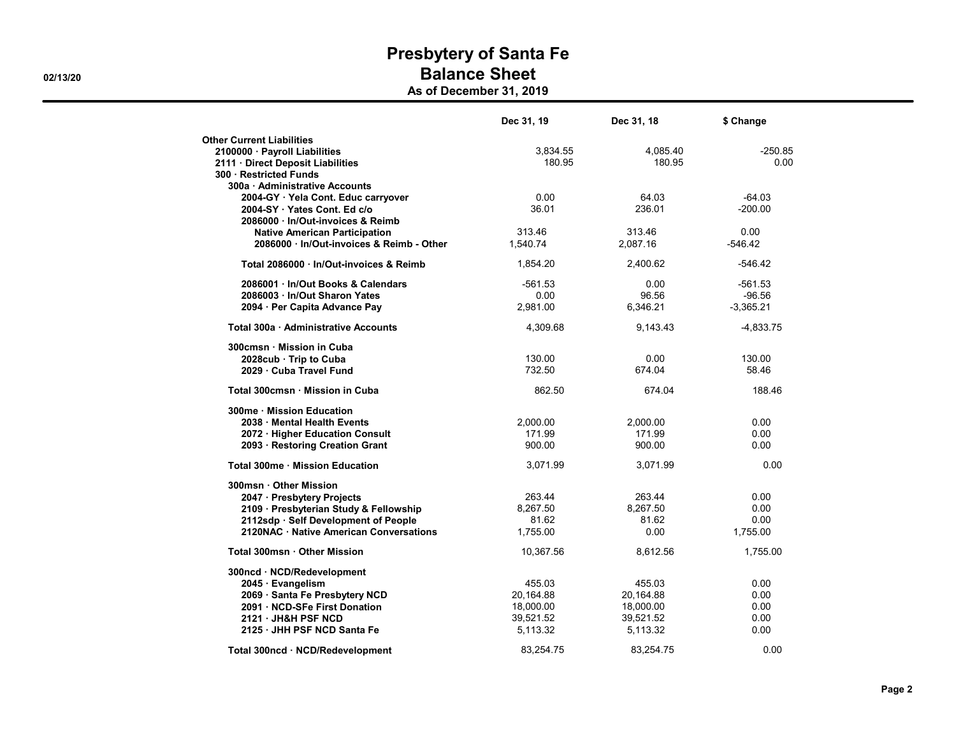As of December 31, 2019

|                                         | Dec 31, 19 | Dec 31, 18 | \$ Change   |
|-----------------------------------------|------------|------------|-------------|
| <b>Other Current Liabilities</b>        |            |            |             |
| 2100000 · Payroll Liabilities           | 3,834.55   | 4,085.40   | $-250.85$   |
| 2111 Direct Deposit Liabilities         | 180.95     | 180.95     | 0.00        |
| 300 Restricted Funds                    |            |            |             |
| 300a · Administrative Accounts          |            |            |             |
| 2004-GY · Yela Cont. Educ carryover     | 0.00       | 64.03      | $-64.03$    |
| 2004-SY Yates Cont. Ed c/o              | 36.01      | 236.01     | $-200.00$   |
| 2086000 · In/Out-invoices & Reimb       |            |            |             |
| <b>Native American Participation</b>    | 313.46     | 313.46     | 0.00        |
| 2086000 In/Out-invoices & Reimb - Other | 1.540.74   | 2.087.16   | $-546.42$   |
| Total 2086000 · In/Out-invoices & Reimb | 1,854.20   | 2,400.62   | $-546.42$   |
| 2086001 In/Out Books & Calendars        | $-561.53$  | 0.00       | $-561.53$   |
| 2086003 · In/Out Sharon Yates           | 0.00       | 96.56      | $-96.56$    |
| 2094 · Per Capita Advance Pay           | 2,981.00   | 6,346.21   | $-3,365.21$ |
| Total 300a · Administrative Accounts    | 4,309.68   | 9.143.43   | $-4,833.75$ |
| 300cmsn Mission in Cuba                 |            |            |             |
| 2028cub Trip to Cuba                    | 130.00     | 0.00       | 130.00      |
| 2029 Cuba Travel Fund                   | 732.50     | 674.04     | 58.46       |
| Total 300cmsn · Mission in Cuba         | 862.50     | 674.04     | 188.46      |
| 300me · Mission Education               |            |            |             |
| 2038 Mental Health Events               | 2,000.00   | 2,000.00   | 0.00        |
| 2072 · Higher Education Consult         | 171.99     | 171.99     | 0.00        |
| 2093 · Restoring Creation Grant         | 900.00     | 900.00     | 0.00        |
| Total 300me · Mission Education         | 3,071.99   | 3,071.99   | 0.00        |
| 300msn · Other Mission                  |            |            |             |
| 2047 · Presbytery Projects              | 263.44     | 263.44     | 0.00        |
| 2109 · Presbyterian Study & Fellowship  | 8,267.50   | 8,267.50   | 0.00        |
| 2112sdp · Self Development of People    | 81.62      | 81.62      | 0.00        |
| 2120NAC · Native American Conversations | 1,755.00   | 0.00       | 1,755.00    |
| Total 300msn · Other Mission            | 10,367.56  | 8,612.56   | 1,755.00    |
| 300ncd · NCD/Redevelopment              |            |            |             |
| 2045 · Evangelism                       | 455.03     | 455.03     | 0.00        |
| 2069 · Santa Fe Presbytery NCD          | 20,164.88  | 20,164.88  | 0.00        |
| 2091 · NCD-SFe First Donation           | 18,000.00  | 18,000.00  | 0.00        |
| 2121 JH&H PSF NCD                       | 39,521.52  | 39,521.52  | 0.00        |
| 2125 JHH PSF NCD Santa Fe               | 5,113.32   | 5,113.32   | 0.00        |
| Total 300ncd · NCD/Redevelopment        | 83.254.75  | 83.254.75  | 0.00        |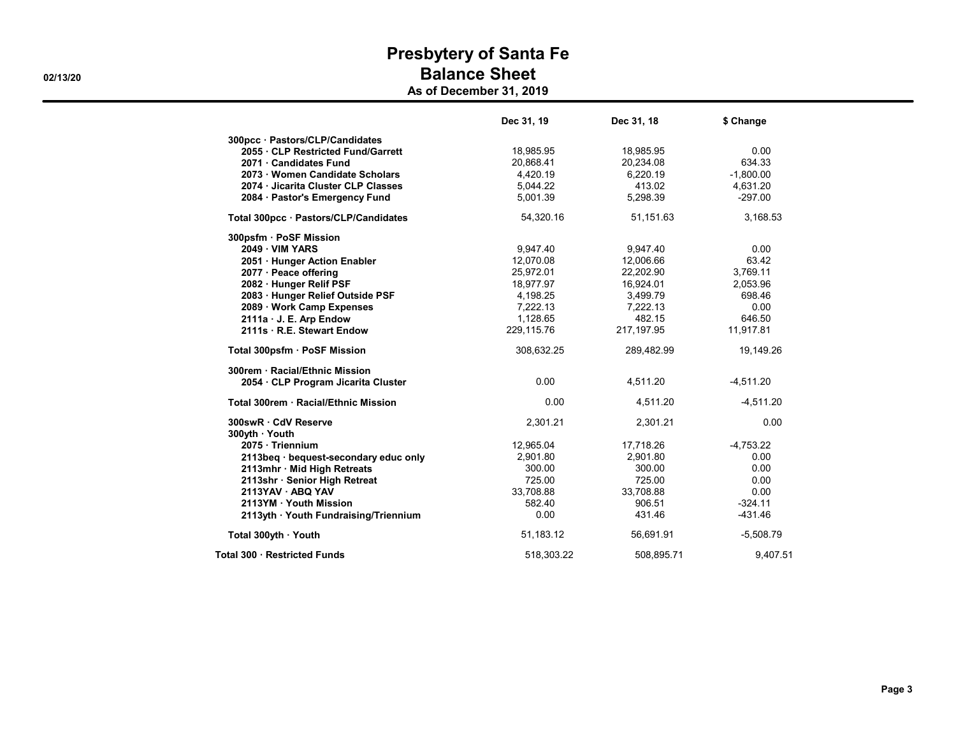As of December 31, 2019

|                                       | Dec 31, 19 | Dec 31, 18 | \$ Change   |
|---------------------------------------|------------|------------|-------------|
| 300pcc · Pastors/CLP/Candidates       |            |            |             |
| 2055 CLP Restricted Fund/Garrett      | 18,985.95  | 18,985.95  | 0.00        |
| 2071 · Candidates Fund                | 20,868.41  | 20,234.08  | 634.33      |
| 2073 Women Candidate Scholars         | 4,420.19   | 6,220.19   | $-1,800.00$ |
| 2074 Jicarita Cluster CLP Classes     | 5,044.22   | 413.02     | 4,631.20    |
| 2084 · Pastor's Emergency Fund        | 5,001.39   | 5,298.39   | $-297.00$   |
| Total 300pcc · Pastors/CLP/Candidates | 54,320.16  | 51,151.63  | 3,168.53    |
| 300psfm · PoSF Mission                |            |            |             |
| <b>2049 - VIM YARS</b>                | 9,947.40   | 9,947.40   | 0.00        |
| 2051 · Hunger Action Enabler          | 12,070.08  | 12,006.66  | 63.42       |
| 2077 · Peace offering                 | 25,972.01  | 22,202.90  | 3,769.11    |
| 2082 · Hunger Relif PSF               | 18,977.97  | 16,924.01  | 2,053.96    |
| 2083 · Hunger Relief Outside PSF      | 4,198.25   | 3,499.79   | 698.46      |
| 2089 · Work Camp Expenses             | 7,222.13   | 7,222.13   | 0.00        |
| 2111a · J. E. Arp Endow               | 1,128.65   | 482.15     | 646.50      |
| 2111s R.E. Stewart Endow              | 229,115.76 | 217,197.95 | 11,917.81   |
| Total 300psfm · PoSF Mission          | 308,632.25 | 289,482.99 | 19,149.26   |
| 300rem · Racial/Ethnic Mission        |            |            |             |
| 2054 · CLP Program Jicarita Cluster   | 0.00       | 4,511.20   | $-4,511.20$ |
| Total 300rem · Racial/Ethnic Mission  | 0.00       | 4,511.20   | $-4,511.20$ |
| 300swR · CdV Reserve                  | 2,301.21   | 2,301.21   | 0.00        |
| 300yth Youth                          |            |            |             |
| 2075 · Triennium                      | 12,965.04  | 17,718.26  | $-4,753.22$ |
| 2113beg · bequest-secondary educ only | 2,901.80   | 2,901.80   | 0.00        |
| 2113mhr · Mid High Retreats           | 300.00     | 300.00     | 0.00        |
| 2113shr · Senior High Retreat         | 725.00     | 725.00     | 0.00        |
| 2113YAV · ABQ YAV                     | 33,708.88  | 33,708.88  | 0.00        |
| 2113YM Youth Mission                  | 582.40     | 906.51     | $-324.11$   |
| 2113yth · Youth Fundraising/Triennium | 0.00       | 431.46     | $-431.46$   |
| Total 300yth · Youth                  | 51,183.12  | 56,691.91  | $-5,508.79$ |
| Total 300 · Restricted Funds          | 518,303.22 | 508,895.71 | 9,407.51    |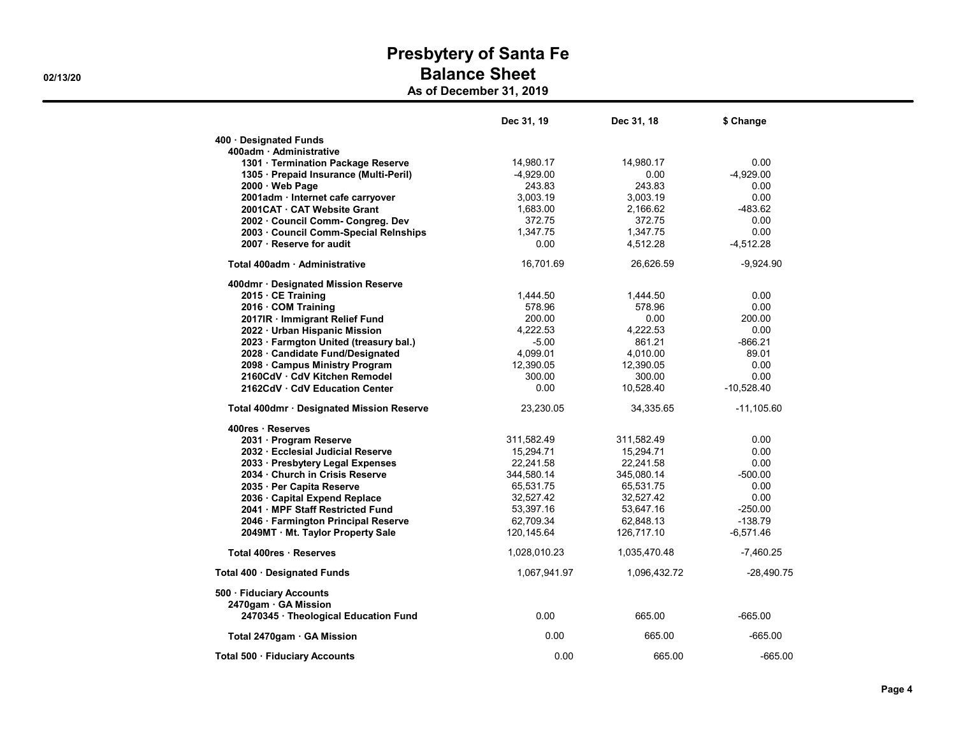As of December 31, 2019

|                                                  | Dec 31, 19   | Dec 31, 18   | \$ Change    |
|--------------------------------------------------|--------------|--------------|--------------|
| 400 · Designated Funds                           |              |              |              |
| 400adm · Administrative                          |              |              |              |
| 1301 · Termination Package Reserve               | 14,980.17    | 14,980.17    | 0.00         |
| 1305 · Prepaid Insurance (Multi-Peril)           | $-4,929.00$  | 0.00         | $-4,929.00$  |
| 2000 · Web Page                                  | 243.83       | 243.83       | 0.00         |
| 2001adm · Internet cafe carryover                | 3,003.19     | 3,003.19     | 0.00         |
| 2001CAT CAT Website Grant                        | 1,683.00     | 2,166.62     | $-483.62$    |
| 2002 Council Comm- Congreg. Dev                  | 372.75       | 372.75       | 0.00         |
| 2003 · Council Comm-Special Relnships            | 1,347.75     | 1,347.75     | 0.00         |
| 2007 · Reserve for audit                         | 0.00         | 4,512.28     | $-4,512.28$  |
| Total 400adm · Administrative                    | 16,701.69    | 26,626.59    | $-9,924.90$  |
| 400dmr · Designated Mission Reserve              |              |              |              |
| 2015 CE Training                                 | 1,444.50     | 1,444.50     | 0.00         |
| 2016 · COM Training                              | 578.96       | 578.96       | 0.00         |
| 2017IR · Immigrant Relief Fund                   | 200.00       | 0.00         | 200.00       |
| 2022 · Urban Hispanic Mission                    | 4,222.53     | 4,222.53     | 0.00         |
| 2023 · Farmgton United (treasury bal.)           | $-5.00$      | 861.21       | $-866.21$    |
| 2028 · Candidate Fund/Designated                 | 4,099.01     | 4,010.00     | 89.01        |
| 2098 Campus Ministry Program                     | 12,390.05    | 12,390.05    | 0.00         |
| 2160CdV · CdV Kitchen Remodel                    | 300.00       | 300.00       | 0.00         |
| 2162CdV · CdV Education Center                   | 0.00         | 10,528.40    | $-10,528.40$ |
| Total 400dmr · Designated Mission Reserve        | 23,230.05    | 34,335.65    | $-11,105.60$ |
| 400res · Reserves                                |              |              |              |
| 2031 · Program Reserve                           | 311,582.49   | 311,582.49   | 0.00         |
| 2032 · Ecclesial Judicial Reserve                | 15,294.71    | 15,294.71    | 0.00         |
| 2033 · Presbytery Legal Expenses                 | 22,241.58    | 22,241.58    | 0.00         |
| 2034 · Church in Crisis Reserve                  | 344,580.14   | 345,080.14   | $-500.00$    |
| 2035 · Per Capita Reserve                        | 65,531.75    | 65,531.75    | 0.00         |
| 2036 · Capital Expend Replace                    | 32,527.42    | 32,527.42    | 0.00         |
| 2041 · MPF Staff Restricted Fund                 | 53,397.16    | 53,647.16    | $-250.00$    |
| 2046 · Farmington Principal Reserve              | 62,709.34    | 62,848.13    | $-138.79$    |
| 2049MT · Mt. Taylor Property Sale                | 120,145.64   | 126,717.10   | $-6,571.46$  |
| Total 400res · Reserves                          | 1,028,010.23 | 1,035,470.48 | $-7,460.25$  |
| Total 400 · Designated Funds                     | 1,067,941.97 | 1,096,432.72 | $-28,490.75$ |
| 500 · Fiduciary Accounts<br>2470gam · GA Mission |              |              |              |
| 2470345 · Theological Education Fund             | 0.00         | 665.00       | -665.00      |
| Total 2470gam · GA Mission                       | 0.00         | 665.00       | $-665.00$    |
| Total 500 · Fiduciary Accounts                   | 0.00         | 665.00       | $-665.00$    |